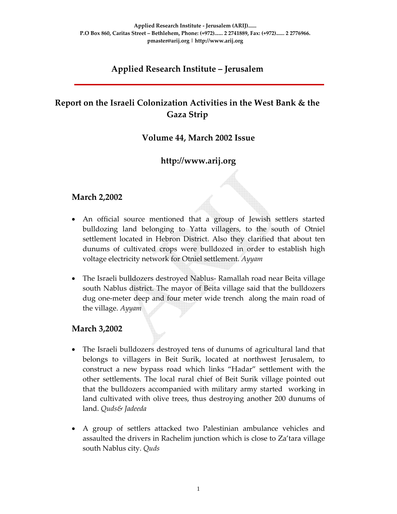# **Applied Research Institute – Jerusalem**

# **Report on the Israeli Colonization Activities in the West Bank & the Gaza Strip**

#### **Volume 44, March 2002 Issue**

## **http://www.arij.org**

### **March 2,2002**

- An official source mentioned that a group of Jewish settlers started bulldozing land belonging to Yatta villagers, to the south of Otniel settlement located in Hebron District. Also they clarified that about ten dunums of cultivated crops were bulldozed in order to establish high voltage electricity network for Otniel settlement. *Ayyam*
- The Israeli bulldozers destroyed Nablus- Ramallah road near Beita village south Nablus district. The mayor of Beita village said that the bulldozers dug one‐meter deep and four meter wide trench along the main road of the village. *Ayyam*

#### **March 3,2002**

- The Israeli bulldozers destroyed tens of dunums of agricultural land that belongs to villagers in Beit Surik, located at northwest Jerusalem, to construct a new bypass road which links "Hadar" settlement with the other settlements. The local rural chief of Beit Surik village pointed out that the bulldozers accompanied with military army started working in land cultivated with olive trees, thus destroying another 200 dunums of land. *Quds& Jadeeda*
- A group of settlers attacked two Palestinian ambulance vehicles and assaulted the drivers in Rachelim junction which is close to Za'tara village south Nablus city. *Quds*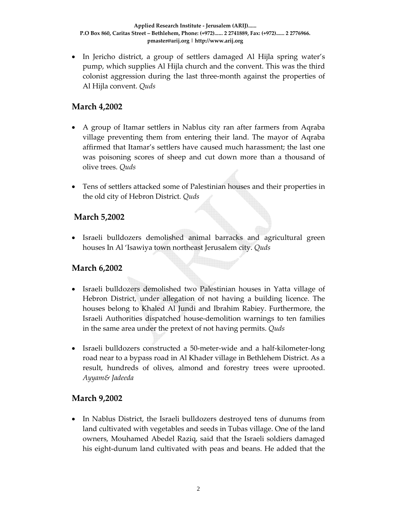• In Jericho district, a group of settlers damaged Al Hijla spring water's pump, which supplies Al Hijla church and the convent. This was the third colonist aggression during the last three‐month against the properties of Al Hijla convent. *Quds*

## **March 4,2002**

- A group of Itamar settlers in Nablus city ran after farmers from Aqraba village preventing them from entering their land. The mayor of Aqraba affirmed that Itamar's settlers have caused much harassment; the last one was poisoning scores of sheep and cut down more than a thousand of olive trees. *Quds*
- Tens of settlers attacked some of Palestinian houses and their properties in the old city of Hebron District*. Quds*

### **March 5,2002**

• Israeli bulldozers demolished animal barracks and agricultural green houses In Al 'Isawiya town northeast Jerusalem city. *Quds*

### **March 6,2002**

- Israeli bulldozers demolished two Palestinian houses in Yatta village of Hebron District, under allegation of not having a building licence. The houses belong to Khaled Al Jundi and Ibrahim Rabiey. Furthermore, the Israeli Authorities dispatched house‐demolition warnings to ten families in the same area under the pretext of not having permits. *Quds*
- Israeli bulldozers constructed a 50-meter-wide and a half-kilometer-long road near to a bypass road in Al Khader village in Bethlehem District. As a result, hundreds of olives, almond and forestry trees were uprooted. *Ayyam& Jadeeda*

#### **March 9,2002**

• In Nablus District, the Israeli bulldozers destroyed tens of dunums from land cultivated with vegetables and seeds in Tubas village. One of the land owners, Mouhamed Abedel Raziq, said that the Israeli soldiers damaged his eight‐dunum land cultivated with peas and beans. He added that the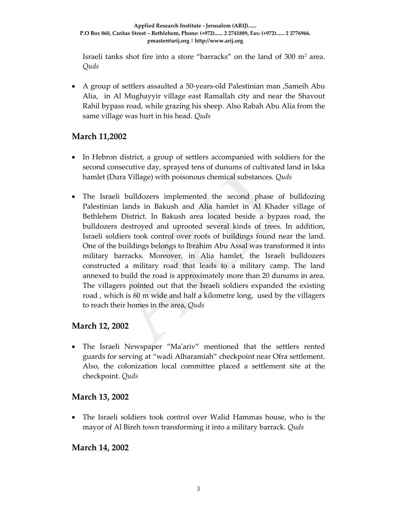Israeli tanks shot fire into a store "barracks" on the land of  $300 \text{ m}^2$  area. *Quds*

• A group of settlers assaulted a 50-years-old Palestinian man ,Sameih Abu Alia, in Al Mughayyir village east Ramallah city and near the Shavout Rahil bypass road, while grazing his sheep. Also Rabah Abu Alia from the same village was hurt in his head. *Quds* 

#### **March 11,2002**

- In Hebron district, a group of settlers accompanied with soldiers for the second consecutive day, sprayed tens of dunums of cultivated land in Iska hamlet (Dura Village) with poisonous chemical substances. *Quds*
- The Israeli bulldozers implemented the second phase of bulldozing Palestinian lands in Bakush and Alia hamlet in Al Khader village of Bethlehem District. In Bakush area located beside a bypass road, the bulldozers destroyed and uprooted several kinds of trees. In addition, Israeli soldiers took control over roofs of buildings found near the land. One of the buildings belongs to Ibrahim Abu Assal was transformed it into military barracks. Moreover, in Alia hamlet, the Israeli bulldozers constructed a military road that leads to a military camp. The land annexed to build the road is approximately more than 20 dunums in area. The villagers pointed out that the Israeli soldiers expanded the existing road , which is 60 m wide and half a kilometre long, used by the villagers to reach their homes in the area, *Quds*

### **March 12, 2002**

• The Israeli Newspaper "Maʹariv" mentioned that the settlers rented guards for serving at "wadi Alharamiah" checkpoint near Ofra settlement. Also, the colonization local committee placed a settlement site at the checkpoint. *Quds*

### **March 13, 2002**

• The Israeli soldiers took control over Walid Hammas house, who is the mayor of Al Bireh town transforming it into a military barrack. *Quds*

### **March 14, 2002**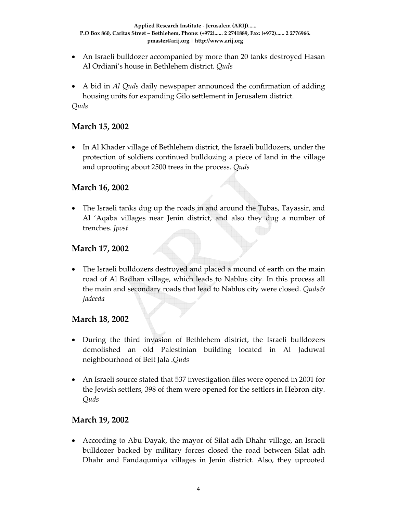- An Israeli bulldozer accompanied by more than 20 tanks destroyed Hasan Al Ordiani's house in Bethlehem district. *Quds*
- A bid in *Al Quds* daily newspaper announced the confirmation of adding housing units for expanding Gilo settlement in Jerusalem district. *Quds*

### **March 15, 2002**

• In Al Khader village of Bethlehem district, the Israeli bulldozers, under the protection of soldiers continued bulldozing a piece of land in the village and uprooting about 2500 trees in the process. *Quds*

#### **March 16, 2002**

• The Israeli tanks dug up the roads in and around the Tubas, Tayassir, and Al 'Aqaba villages near Jenin district, and also they dug a number of trenches. *Jpost*

#### **March 17, 2002**

• The Israeli bulldozers destroyed and placed a mound of earth on the main road of Al Badhan village, which leads to Nablus city. In this process all the main and secondary roads that lead to Nablus city were closed. *Quds& Jadeeda*

#### **March 18, 2002**

- During the third invasion of Bethlehem district, the Israeli bulldozers demolished an old Palestinian building located in Al Jaduwal neighbourhood of Beit Jala .*Quds*
- An Israeli source stated that 537 investigation files were opened in 2001 for the Jewish settlers, 398 of them were opened for the settlers in Hebron city. *Quds*

#### **March 19, 2002**

• According to Abu Dayak, the mayor of Silat adh Dhahr village, an Israeli bulldozer backed by military forces closed the road between Silat adh Dhahr and Fandaqumiya villages in Jenin district. Also, they uprooted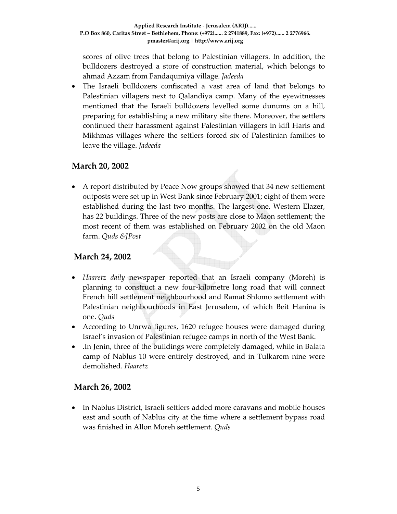scores of olive trees that belong to Palestinian villagers. In addition, the bulldozers destroyed a store of construction material, which belongs to ahmad Azzam from Fandaqumiya village. *Jadeeda*

• The Israeli bulldozers confiscated a vast area of land that belongs to Palestinian villagers next to Qalandiya camp. Many of the eyewitnesses mentioned that the Israeli bulldozers levelled some dunums on a hill, preparing for establishing a new military site there. Moreover, the settlers continued their harassment against Palestinian villagers in kifl Haris and Mikhmas villages where the settlers forced six of Palestinian families to leave the village. *Jadeeda*

### **March 20, 2002**

• A report distributed by Peace Now groups showed that 34 new settlement outposts were set up in West Bank since February 2001; eight of them were established during the last two months. The largest one, Western Elazer, has 22 buildings. Three of the new posts are close to Maon settlement; the most recent of them was established on February 2002 on the old Maon farm. *Quds &JPost*

### **March 24, 2002**

- *Haaretz daily* newspaper reported that an Israeli company (Moreh) is planning to construct a new four‐kilometre long road that will connect French hill settlement neighbourhood and Ramat Shlomo settlement with Palestinian neighbourhoods in East Jerusalem, of which Beit Hanina is one. *Quds*
- According to Unrwa figures, 1620 refugee houses were damaged during Israel's invasion of Palestinian refugee camps in north of the West Bank.
- .In Jenin, three of the buildings were completely damaged, while in Balata camp of Nablus 10 were entirely destroyed, and in Tulkarem nine were demolished. *Haaretz*

#### **March 26, 2002**

• In Nablus District, Israeli settlers added more caravans and mobile houses east and south of Nablus city at the time where a settlement bypass road was finished in Allon Moreh settlement. *Quds*